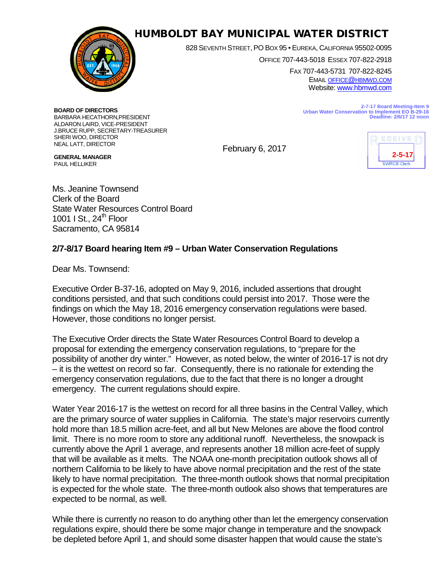

## HUMBOLDT BAY MUNICIPAL WATER DISTRICT

828 SEVENTH STREET, PO BOX 95 • EUREKA, CALIFORNIA 95502-0095

OFFICE 707-443-5018 ESSEX 707-822-2918

FAX 707-443-5731 707-822-8245 EMAI[L OFFICE@HBMWD.COM](mailto:office@hbmwd.com) Website: [www.hbmwd.com](http://www.hbmwd.com/)

> **2-7-17 Board Meeting-Item 9 Urban Water Conservation to Implement EO B-29-16 Deadline: 2/6/17 12 noon**

**BOARD OF DIRECTORS** BARBARA HECATHORN,PRESIDENT ALDARON LAIRD, VICE-PRESIDENT J.BRUCE RUPP, SECRETARY-TREASURER SHERI WOO, DIRECTOR NEAL LATT, DIRECTOR

February 6, 2017



**GENERAL MANAGER** PAUL HELLIKER

Ms. Jeanine Townsend Clerk of the Board State Water Resources Control Board 1001 I St.,  $24<sup>th</sup>$  Floor Sacramento, CA 95814

## **2/7-8/17 Board hearing Item #9 – Urban Water Conservation Regulations**

Dear Ms. Townsend:

Executive Order B-37-16, adopted on May 9, 2016, included assertions that drought conditions persisted, and that such conditions could persist into 2017. Those were the findings on which the May 18, 2016 emergency conservation regulations were based. However, those conditions no longer persist.

The Executive Order directs the State Water Resources Control Board to develop a proposal for extending the emergency conservation regulations, to "prepare for the possibility of another dry winter." However, as noted below, the winter of 2016-17 is not dry – it is the wettest on record so far. Consequently, there is no rationale for extending the emergency conservation regulations, due to the fact that there is no longer a drought emergency. The current regulations should expire.

Water Year 2016-17 is the wettest on record for all three basins in the Central Valley, which are the primary source of water supplies in California. The state's major reservoirs currently hold more than 18.5 million acre-feet, and all but New Melones are above the flood control limit. There is no more room to store any additional runoff. Nevertheless, the snowpack is currently above the April 1 average, and represents another 18 million acre-feet of supply that will be available as it melts. The NOAA one-month precipitation outlook shows all of northern California to be likely to have above normal precipitation and the rest of the state likely to have normal precipitation. The three-month outlook shows that normal precipitation is expected for the whole state. The three-month outlook also shows that temperatures are expected to be normal, as well.

While there is currently no reason to do anything other than let the emergency conservation regulations expire, should there be some major change in temperature and the snowpack be depleted before April 1, and should some disaster happen that would cause the state's